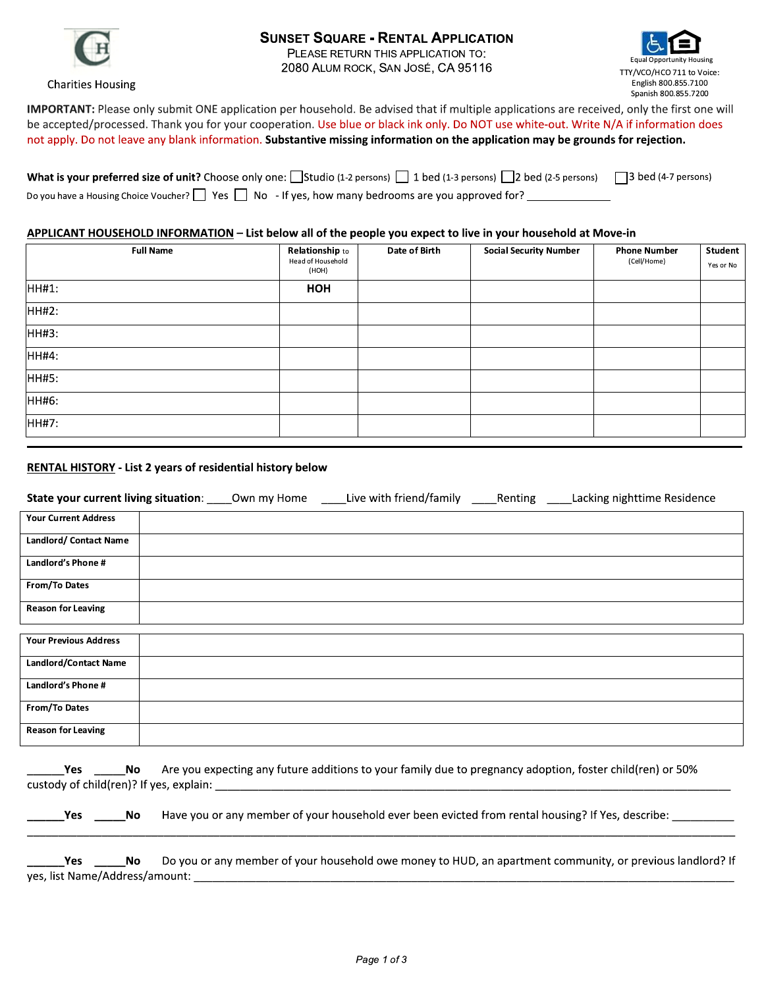

**Charities Housing** 

#### **SUNSET SQUARE - RENTAL APPLICATION**

PLEASE RETURN THIS APPLICATION TO: 2080 ALUM ROCK, SAN JOSÉ, CA 95116



IMPORTANT: Please only submit ONE application per household. Be advised that if multiple applications are received, only the first one will be accepted/processed. Thank you for your cooperation. Use blue or black ink only. Do NOT use white-out. Write N/A if information does not apply. Do not leave any blank information. Substantive missing information on the application may be grounds for rejection.

| What is your preferred size of unit? Choose only one: Studio (1-2 persons) 1 bed (1-3 persons) 2 bed (2-5 persons) 3 bed (4-7 persons) |  |
|----------------------------------------------------------------------------------------------------------------------------------------|--|
| Do you have a Housing Choice Voucher? $\Box$ Yes $\Box$ No - If yes, how many bedrooms are you approved for?                           |  |

#### APPLICANT HOUSEHOLD INFORMATION - List below all of the people you expect to live in your household at Move-in

| <b>Full Name</b> | Relationship to<br>Head of Household<br>(НОН) | Date of Birth | <b>Social Security Number</b> | <b>Phone Number</b><br>(Cell/Home) | Student<br>Yes or No |
|------------------|-----------------------------------------------|---------------|-------------------------------|------------------------------------|----------------------|
| HH#1:            | HOH                                           |               |                               |                                    |                      |
| HH#2:            |                                               |               |                               |                                    |                      |
| HH#3:            |                                               |               |                               |                                    |                      |
| HH#4:            |                                               |               |                               |                                    |                      |
| HH#5:            |                                               |               |                               |                                    |                      |
| HH#6:            |                                               |               |                               |                                    |                      |
| HH#7:            |                                               |               |                               |                                    |                      |

#### **RENTAL HISTORY** - List 2 years of residential history below

| State your current living situation: | Own my Home | Live with friend/family _______ Renting | Lacking nighttime Residence |
|--------------------------------------|-------------|-----------------------------------------|-----------------------------|
| <b>Your Current Address</b>          |             |                                         |                             |
| Landlord/ Contact Name               |             |                                         |                             |
| Landlord's Phone #                   |             |                                         |                             |
| From/To Dates                        |             |                                         |                             |
| <b>Reason for Leaving</b>            |             |                                         |                             |
|                                      |             |                                         |                             |
| <b>Your Previous Address</b>         |             |                                         |                             |
| <b>Landlord/Contact Name</b>         |             |                                         |                             |
| Landlord's Phone #                   |             |                                         |                             |
| From/To Dates                        |             |                                         |                             |
| <b>Reason for Leaving</b>            |             |                                         |                             |

| Yes No                                |      | Are you expecting any future additions to your family due to pregnancy adoption, foster child(ren) or 50%<br>custody of child(ren)? If yes, explain: |
|---------------------------------------|------|------------------------------------------------------------------------------------------------------------------------------------------------------|
| Yes:                                  | a No | Have you or any member of your household ever been evicted from rental housing? If Yes, describe:                                                    |
| Yes<br>yes, list Name/Address/amount: | a No | Do you or any member of your household owe money to HUD, an apartment community, or previous landlord? If                                            |

Page 1 of 3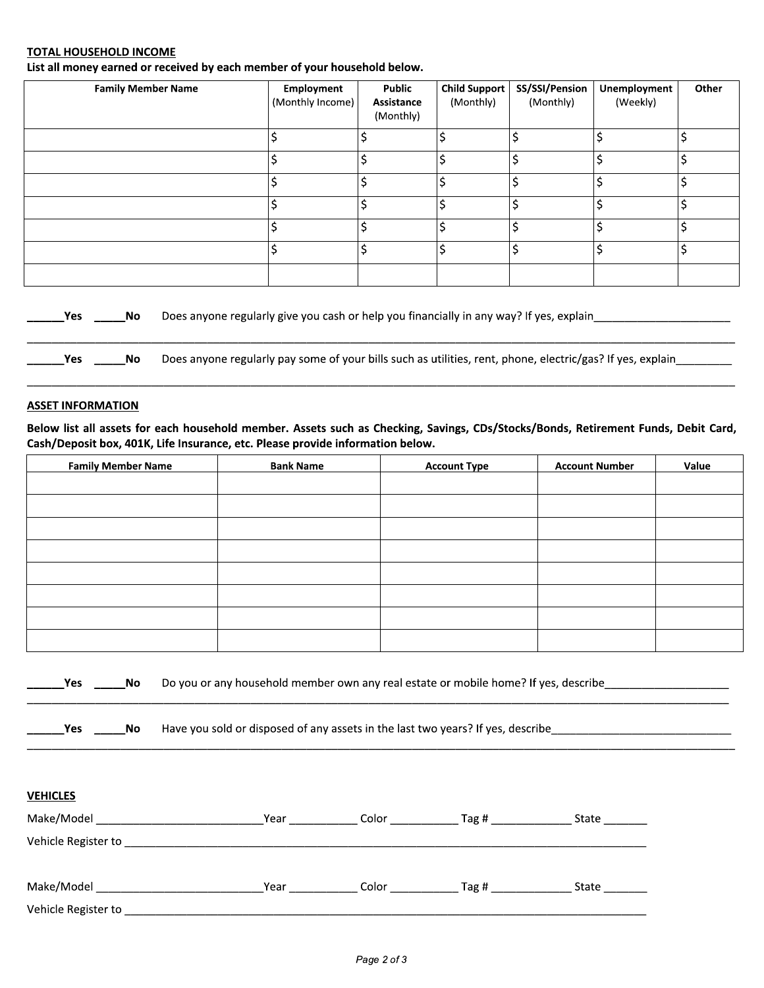#### <u>TOTAL HOUSEHOLD INCOME</u>

| List all money earned or received by each member of your household below. |                                       |                                          |                            |                                 |                          |       |
|---------------------------------------------------------------------------|---------------------------------------|------------------------------------------|----------------------------|---------------------------------|--------------------------|-------|
| <b>Family Member Name</b>                                                 | <b>Employment</b><br>(Monthly Income) | <b>Public</b><br>Assistance<br>(Monthly) | Child Support<br>(Monthly) | SS/SSI/Pension<br>(Monthly)     | Unemployment<br>(Weekly) | Other |
|                                                                           | Ś                                     | Ś                                        | \$                         | \$                              | \$                       | Ś     |
|                                                                           | \$                                    | \$                                       | \$                         | $\overline{\boldsymbol{\zeta}}$ | \$                       |       |
|                                                                           | \$                                    | \$                                       | \$                         | \$                              | \$                       | ሖ     |
|                                                                           | Ś                                     | \$                                       | \$                         | \$                              | \$                       | ۸     |
|                                                                           | \$                                    | \$                                       | \$                         | \$                              | \$                       | \$    |
|                                                                           | \$                                    | \$                                       | \$                         | \$                              | \$                       | ó     |

#### <u>ASSET INFORMATION</u>

| Yes.                     | No l                      | Does anyone regularly give you cash or help you financially in any way? If yes, explain________            |                                                                                |                                                                                                                                    |                       |       |  |  |
|--------------------------|---------------------------|------------------------------------------------------------------------------------------------------------|--------------------------------------------------------------------------------|------------------------------------------------------------------------------------------------------------------------------------|-----------------------|-------|--|--|
| <b>Yes</b>               | No.                       | Does anyone regularly pay some of your bills such as utilities, rent, phone, electric/gas? If yes, explain |                                                                                |                                                                                                                                    |                       |       |  |  |
| <b>ASSET INFORMATION</b> |                           |                                                                                                            |                                                                                |                                                                                                                                    |                       |       |  |  |
|                          |                           |                                                                                                            | Cash/Deposit box, 401K, Life Insurance, etc. Please provide information below. | Below list all assets for each household member. Assets such as Checking, Savings, CDs/Stocks/Bonds, Retirement Funds, Debit Card, |                       |       |  |  |
|                          | <b>Family Member Name</b> |                                                                                                            | <b>Bank Name</b>                                                               | <b>Account Type</b>                                                                                                                | <b>Account Number</b> | Value |  |  |
|                          |                           |                                                                                                            |                                                                                |                                                                                                                                    |                       |       |  |  |
|                          |                           |                                                                                                            |                                                                                |                                                                                                                                    |                       |       |  |  |
|                          |                           |                                                                                                            |                                                                                |                                                                                                                                    |                       |       |  |  |
|                          |                           |                                                                                                            |                                                                                |                                                                                                                                    |                       |       |  |  |
|                          |                           |                                                                                                            |                                                                                |                                                                                                                                    |                       |       |  |  |
|                          |                           |                                                                                                            |                                                                                |                                                                                                                                    |                       |       |  |  |
|                          |                           |                                                                                                            |                                                                                |                                                                                                                                    |                       |       |  |  |
|                          |                           |                                                                                                            |                                                                                |                                                                                                                                    |                       |       |  |  |
|                          |                           |                                                                                                            |                                                                                |                                                                                                                                    |                       |       |  |  |

| Yes |  | <b>No</b> Do you or any household member own any real estate or mobile home? If yes, describe<br>the contract of the contract of the contract of the contract of the contract of the contract of the contract of<br>$\sim$ 0.000 $\sim$ 0.000 $\sim$ 0.000 $\sim$ 0.000 $\sim$ 0.000 $\sim$ 0.000 $\sim$ 0.000 $\sim$ 0.000 $\sim$ 0.000 $\sim$ 0.000 $\sim$ 0.000 $\sim$ 0.000 $\sim$ 0.000 $\sim$ 0.000 $\sim$ 0.000 $\sim$ 0.000 $\sim$ 0.000 $\sim$ 0.000 $\sim$ 0.000 $\sim$ 0.000 |
|-----|--|-----------------------------------------------------------------------------------------------------------------------------------------------------------------------------------------------------------------------------------------------------------------------------------------------------------------------------------------------------------------------------------------------------------------------------------------------------------------------------------------|
|-----|--|-----------------------------------------------------------------------------------------------------------------------------------------------------------------------------------------------------------------------------------------------------------------------------------------------------------------------------------------------------------------------------------------------------------------------------------------------------------------------------------------|

| Yes | <b>No</b> | Have you sold or disposed of any assets in the last two years? If yes, describe |
|-----|-----------|---------------------------------------------------------------------------------|

OOOOOOOOOOOOOOOOOOOOOOOOOOOOOOOOOOOOOOOOOOOOOOOOOOOOOOOOOOOOOOOOOOOOOOOOOOOOOOOOOOOOOOOOOOOOOOOOOOOOOOOOOOOOOOOOO

OOOOOOOOOOOOOOOOOOOOOOOOOOOOOOOOOOOOOOOOOOOOOOOOOOOOOOOOOOOOOOOOOOOOOOOOOOOOOOOOOOOOOOOOOOOOOOOOOOOOOOOOOOOOOOOOOO

| <b>VEHICLES</b>     |      |       |              |       |
|---------------------|------|-------|--------------|-------|
| Make/Model_         | Year | Color | Tag # $\_\_$ | State |
| Vehicle Register to |      |       |              |       |
| Make/Model          | Year | Color | Tag $#$      | State |
| Vehicle Register to |      |       |              |       |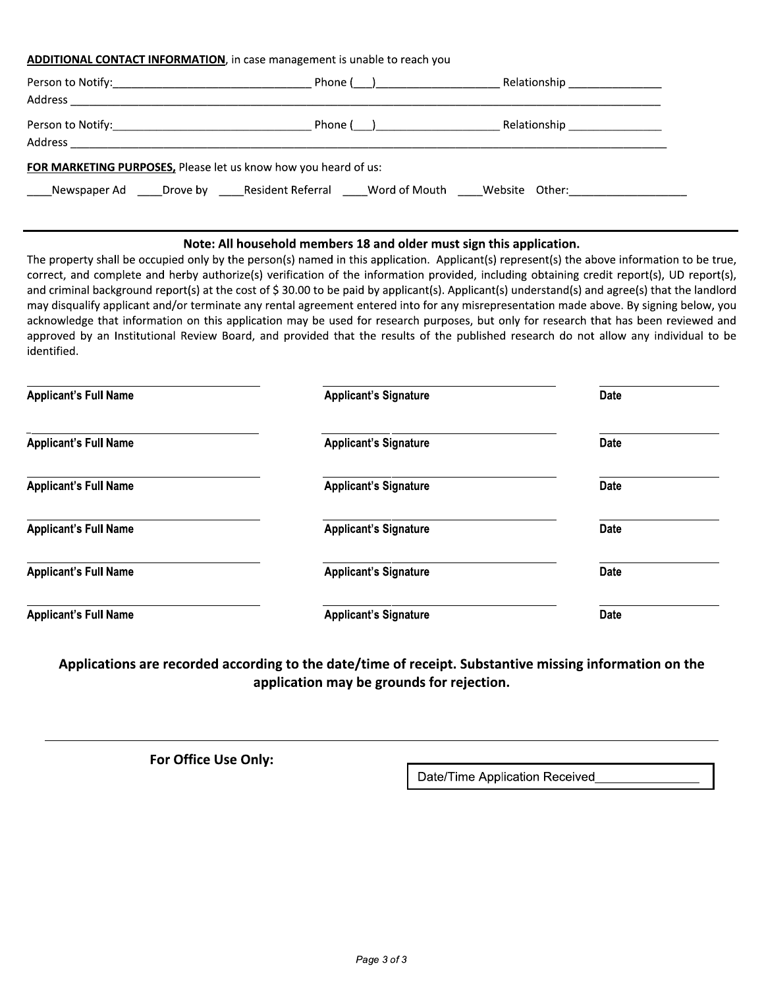#### **ADDITIONAL CONTACT INFORMATION**, in case management is unable to reach you

|                                                                                                      | Phone ( <u>)</u> ___________________ | Relationship ________________   |
|------------------------------------------------------------------------------------------------------|--------------------------------------|---------------------------------|
|                                                                                                      | Phone ( ) ____________________       | Relationship __________________ |
| FOR MARKETING PURPOSES, Please let us know how you heard of us:                                      |                                      |                                 |
| Newspaper Ad _____Drove by ______Resident Referral ______Word of Mouth ______Website Other:_________ |                                      |                                 |

#### Note: All household members 18 and older must sign this application.

The property shall be occupied only by the person(s) named in this application. Applicant(s) represent(s) the above information to be true, correct, and complete and herby authorize(s) verification of the information provided, including obtaining credit report(s), UD report(s), and criminal background report(s) at the cost of \$30.00 to be paid by applicant(s). Applicant(s) understand(s) and agree(s) that the landlord may disqualify applicant and/or terminate any rental agreement entered into for any misrepresentation made above. By signing below, you acknowledge that information on this application may be used for research purposes, but only for research that has been reviewed and approved by an Institutional Review Board, and provided that the results of the published research do not allow any individual to be identified.

| <b>Applicant's Full Name</b> | <b>Applicant's Signature</b> | <b>Date</b> |
|------------------------------|------------------------------|-------------|
| <b>Applicant's Full Name</b> | <b>Applicant's Signature</b> | <b>Date</b> |
| <b>Applicant's Full Name</b> | <b>Applicant's Signature</b> | <b>Date</b> |
| <b>Applicant's Full Name</b> | <b>Applicant's Signature</b> | <b>Date</b> |
| <b>Applicant's Full Name</b> | <b>Applicant's Signature</b> | <b>Date</b> |
| <b>Applicant's Full Name</b> | <b>Applicant's Signature</b> | <b>Date</b> |

Applications are recorded according to the date/time of receipt. Substantive missing information on the application may be grounds for rejection.

For Office Use Only:

Date/Time Application Received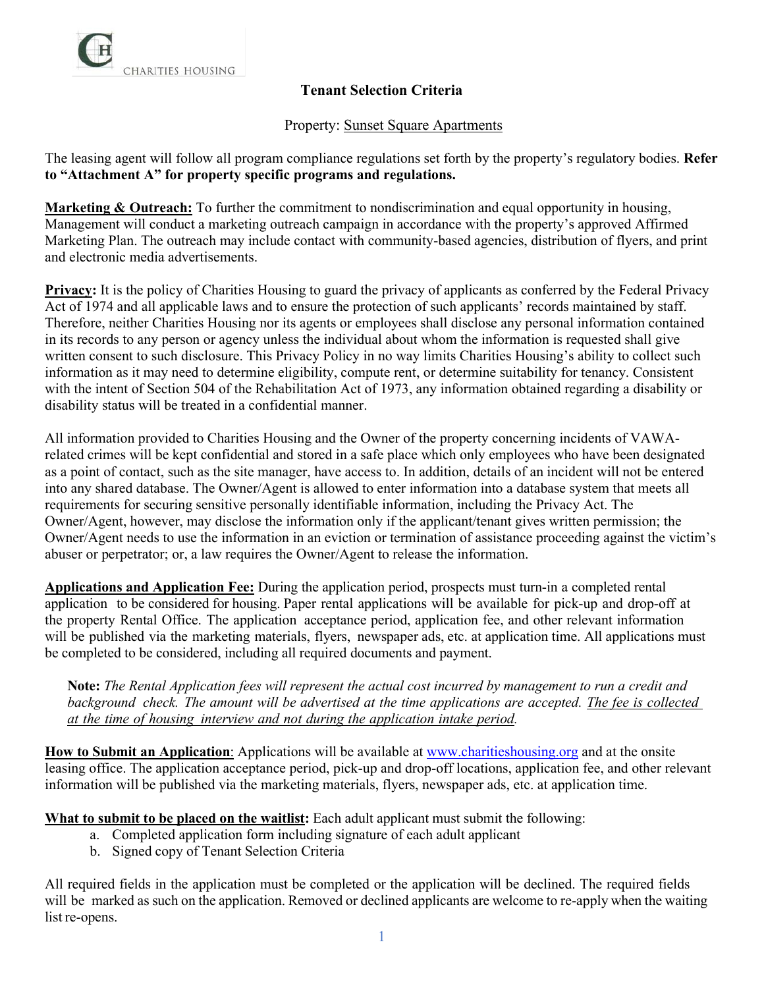

#### Property: Sunset Square Apartments

The leasing agent will follow all program compliance regulations set forth by the property's regulatory bodies. **Refer to "Attachment A" for property specific programs and regulations.** 

**Marketing & Outreach:** To further the commitment to nondiscrimination and equal opportunity in housing, Management will conduct a marketing outreach campaign in accordance with the property's approved Affirmed Marketing Plan. The outreach may include contact with community-based agencies, distribution of flyers, and print and electronic media advertisements.

**Privacy:** It is the policy of Charities Housing to guard the privacy of applicants as conferred by the Federal Privacy Act of 1974 and all applicable laws and to ensure the protection of such applicants' records maintained by staff. Therefore, neither Charities Housing nor its agents or employees shall disclose any personal information contained in its records to any person or agency unless the individual about whom the information is requested shall give written consent to such disclosure. This Privacy Policy in no way limits Charities Housing's ability to collect such information as it may need to determine eligibility, compute rent, or determine suitability for tenancy. Consistent with the intent of Section 504 of the Rehabilitation Act of 1973, any information obtained regarding a disability or disability status will be treated in a confidential manner.

All information provided to Charities Housing and the Owner of the property concerning incidents of VAWArelated crimes will be kept confidential and stored in a safe place which only employees who have been designated as a point of contact, such as the site manager, have access to. In addition, details of an incident will not be entered into any shared database. The Owner/Agent is allowed to enter information into a database system that meets all requirements for securing sensitive personally identifiable information, including the Privacy Act. The Owner/Agent, however, may disclose the information only if the applicant/tenant gives written permission; the Owner/Agent needs to use the information in an eviction or termination of assistance proceeding against the victim's abuser or perpetrator; or, a law requires the Owner/Agent to release the information.

**Applications and Application Fee:** During the application period, prospects must turn-in a completed rental application to be considered for housing. Paper rental applications will be available for pick-up and drop-off at the property Rental Office. The application acceptance period, application fee, and other relevant information will be published via the marketing materials, flyers, newspaper ads, etc. at application time. All applications must be completed to be considered, including all required documents and payment.

**Note:** *The Rental Application fees will represent the actual cost incurred by management to run a credit and* background check. The amount will be advertised at the time applications are accepted. The fee is collected *at the time of housing interview and not during the application intake period.*

**How to Submit an Application**: Applications will be available at [www.charitieshousing.org](http://www.charitieshousing.org/) and at the onsite leasing office. The application acceptance period, pick-up and drop-off locations, application fee, and other relevant information will be published via the marketing materials, flyers, newspaper ads, etc. at application time.

**What to submit to be placed on the waitlist:** Each adult applicant must submit the following:

- a. Completed application form including signature of each adult applicant
- b. Signed copy of Tenant Selection Criteria

All required fields in the application must be completed or the application will be declined. The required fields will be marked as such on the application. Removed or declined applicants are welcome to re-apply when the waiting list re-opens.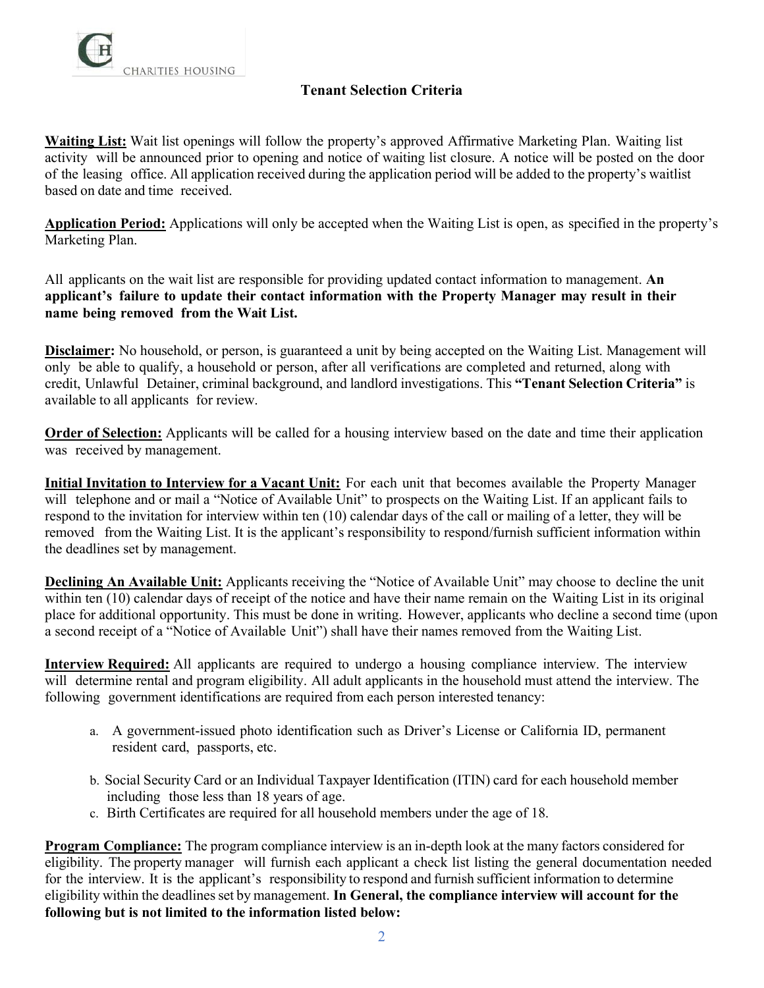

**Waiting List:** Wait list openings will follow the property's approved Affirmative Marketing Plan. Waiting list activity will be announced prior to opening and notice of waiting list closure. A notice will be posted on the door of the leasing office. All application received during the application period will be added to the property's waitlist based on date and time received.

**Application Period:** Applications will only be accepted when the Waiting List is open, as specified in the property's Marketing Plan.

All applicants on the wait list are responsible for providing updated contact information to management. **An applicant's failure to update their contact information with the Property Manager may result in their name being removed from the Wait List.**

**Disclaimer:** No household, or person, is guaranteed a unit by being accepted on the Waiting List. Management will only be able to qualify, a household or person, after all verifications are completed and returned, along with credit, Unlawful Detainer, criminal background, and landlord investigations. This **"Tenant Selection Criteria"** is available to all applicants for review.

**Order of Selection:** Applicants will be called for a housing interview based on the date and time their application was received by management.

**Initial Invitation to Interview for a Vacant Unit:** For each unit that becomes available the Property Manager will telephone and or mail a "Notice of Available Unit" to prospects on the Waiting List. If an applicant fails to respond to the invitation for interview within ten (10) calendar days of the call or mailing of a letter, they will be removed from the Waiting List. It is the applicant's responsibility to respond/furnish sufficient information within the deadlines set by management.

**Declining An Available Unit:** Applicants receiving the "Notice of Available Unit" may choose to decline the unit within ten (10) calendar days of receipt of the notice and have their name remain on the Waiting List in its original place for additional opportunity. This must be done in writing. However, applicants who decline a second time (upon a second receipt of a "Notice of Available Unit") shall have their names removed from the Waiting List.

**Interview Required:** All applicants are required to undergo a housing compliance interview. The interview will determine rental and program eligibility. All adult applicants in the household must attend the interview. The following government identifications are required from each person interested tenancy:

- a. A government-issued photo identification such as Driver's License or California ID, permanent resident card, passports, etc.
- b. Social Security Card or an Individual Taxpayer Identification (ITIN) card for each household member including those less than 18 years of age.
- c. Birth Certificates are required for all household members under the age of 18.

**Program Compliance:** The program compliance interview is an in-depth look at the many factors considered for eligibility. The property manager will furnish each applicant a check list listing the general documentation needed for the interview. It is the applicant's responsibility to respond and furnish sufficient information to determine eligibility within the deadlinesset by management. **In General, the compliance interview will account for the following but is not limited to the information listed below:**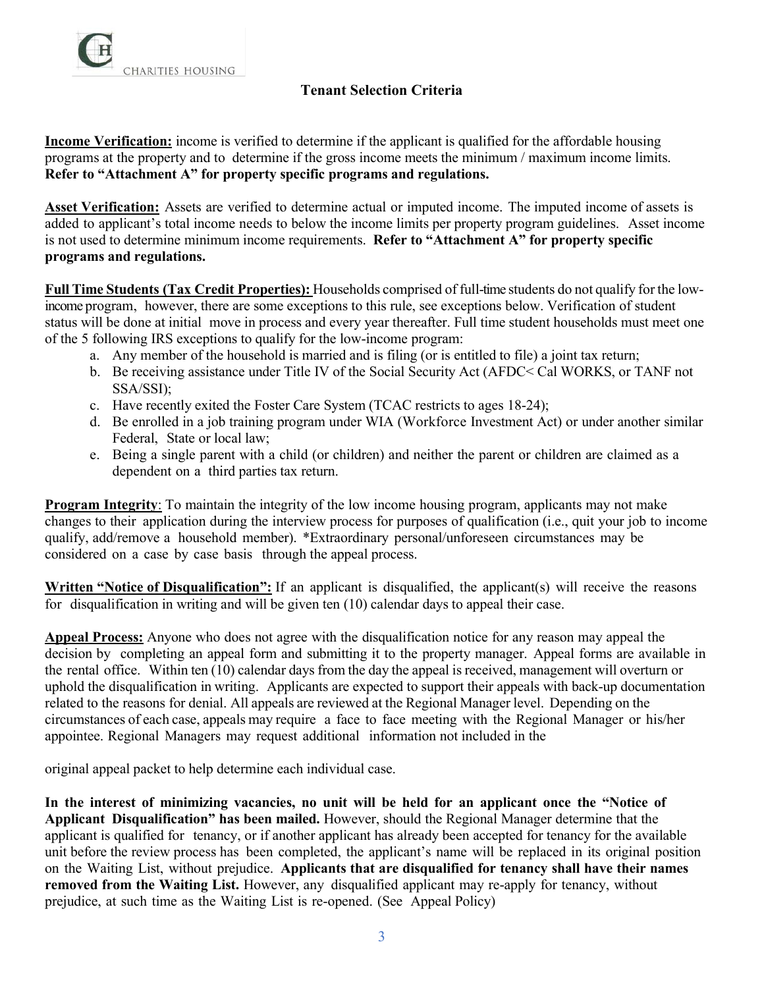

**Income Verification:** income is verified to determine if the applicant is qualified for the affordable housing programs at the property and to determine if the gross income meets the minimum / maximum income limits. **Refer to "Attachment A" for property specific programs and regulations.**

**Asset Verification:** Assets are verified to determine actual or imputed income. The imputed income of assets is added to applicant's total income needs to below the income limits per property program guidelines. Asset income is not used to determine minimum income requirements. **Refer to "Attachment A" for property specific programs and regulations.** 

**Full Time Students (Tax Credit Properties):** Households comprised of full-time students do not qualify for the lowincome program, however, there are some exceptions to this rule, see exceptions below. Verification of student status will be done at initial move in process and every year thereafter. Full time student households must meet one of the 5 following IRS exceptions to qualify for the low-income program:

- a. Any member of the household is married and is filing (or is entitled to file) a joint tax return;
- b. Be receiving assistance under Title IV of the Social Security Act (AFDC< Cal WORKS, or TANF not SSA/SSI);
- c. Have recently exited the Foster Care System (TCAC restricts to ages 18-24);
- d. Be enrolled in a job training program under WIA (Workforce Investment Act) or under another similar Federal, State or local law;
- e. Being a single parent with a child (or children) and neither the parent or children are claimed as a dependent on a third parties tax return.

**Program Integrity**: To maintain the integrity of the low income housing program, applicants may not make changes to their application during the interview process for purposes of qualification (i.e., quit your job to income qualify, add/remove a household member). \*Extraordinary personal/unforeseen circumstances may be considered on a case by case basis through the appeal process.

**Written "Notice of Disqualification":** If an applicant is disqualified, the applicant(s) will receive the reasons for disqualification in writing and will be given ten (10) calendar days to appeal their case.

**Appeal Process:** Anyone who does not agree with the disqualification notice for any reason may appeal the decision by completing an appeal form and submitting it to the property manager. Appeal forms are available in the rental office. Within ten (10) calendar days from the day the appeal is received, management will overturn or uphold the disqualification in writing. Applicants are expected to support their appeals with back-up documentation related to the reasons for denial. All appeals are reviewed at the Regional Manager level. Depending on the circumstances of each case, appeals may require a face to face meeting with the Regional Manager or his/her appointee. Regional Managers may request additional information not included in the

original appeal packet to help determine each individual case.

**In the interest of minimizing vacancies, no unit will be held for an applicant once the "Notice of Applicant Disqualification" has been mailed.** However, should the Regional Manager determine that the applicant is qualified for tenancy, or if another applicant has already been accepted for tenancy for the available unit before the review process has been completed, the applicant's name will be replaced in its original position on the Waiting List, without prejudice. **Applicants that are disqualified for tenancy shall have their names removed from the Waiting List.** However, any disqualified applicant may re-apply for tenancy, without prejudice, at such time as the Waiting List is re-opened. (See Appeal Policy)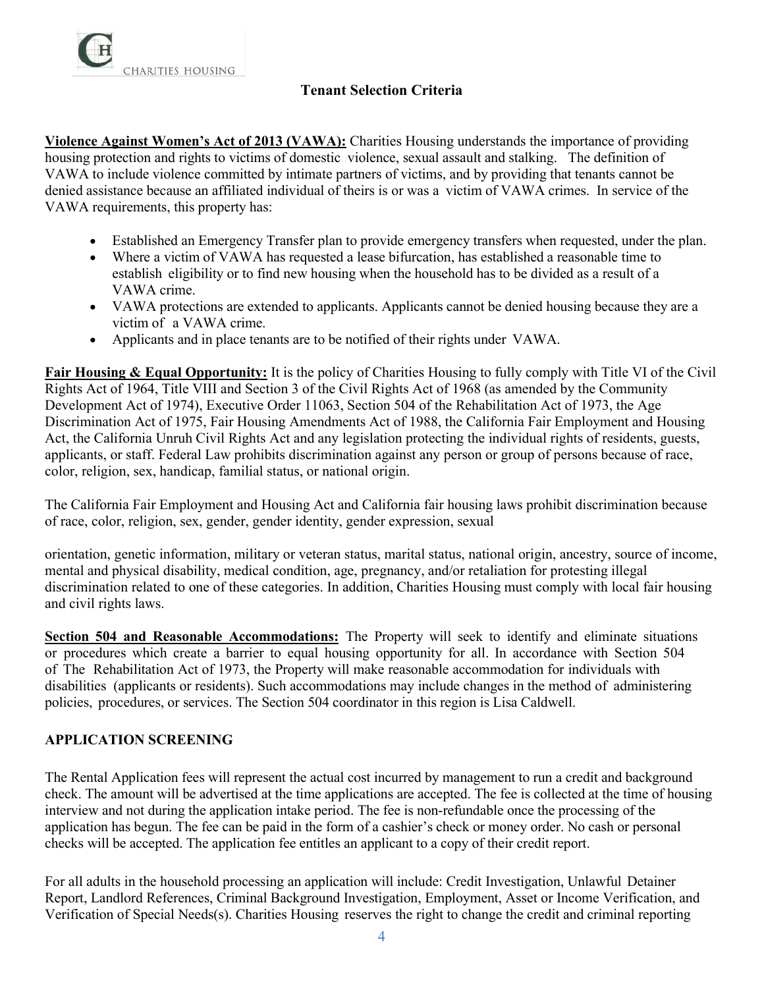

**Violence Against Women's Act of 2013 (VAWA):** Charities Housing understands the importance of providing housing protection and rights to victims of domestic violence, sexual assault and stalking. The definition of VAWA to include violence committed by intimate partners of victims, and by providing that tenants cannot be denied assistance because an affiliated individual of theirs is or was a victim of VAWA crimes. In service of the VAWA requirements, this property has:

- Established an Emergency Transfer plan to provide emergency transfers when requested, under the plan.
- Where a victim of VAWA has requested a lease bifurcation, has established a reasonable time to establish eligibility or to find new housing when the household has to be divided as a result of a VAWA crime.
- VAWA protections are extended to applicants. Applicants cannot be denied housing because they are a victim of a VAWA crime.
- Applicants and in place tenants are to be notified of their rights under VAWA.

**Fair Housing & Equal Opportunity:** It is the policy of Charities Housing to fully comply with Title VI of the Civil Rights Act of 1964, Title VIII and Section 3 of the Civil Rights Act of 1968 (as amended by the Community Development Act of 1974), Executive Order 11063, Section 504 of the Rehabilitation Act of 1973, the Age Discrimination Act of 1975, Fair Housing Amendments Act of 1988, the California Fair Employment and Housing Act, the California Unruh Civil Rights Act and any legislation protecting the individual rights of residents, guests, applicants, or staff. Federal Law prohibits discrimination against any person or group of persons because of race, color, religion, sex, handicap, familial status, or national origin.

The California Fair Employment and Housing Act and California fair housing laws prohibit discrimination because of race, color, religion, sex, gender, gender identity, gender expression, sexual

orientation, genetic information, military or veteran status, marital status, national origin, ancestry, source of income, mental and physical disability, medical condition, age, pregnancy, and/or retaliation for protesting illegal discrimination related to one of these categories. In addition, Charities Housing must comply with local fair housing and civil rights laws.

**Section 504 and Reasonable Accommodations:** The Property will seek to identify and eliminate situations or procedures which create a barrier to equal housing opportunity for all. In accordance with Section 504 of The Rehabilitation Act of 1973, the Property will make reasonable accommodation for individuals with disabilities (applicants or residents). Such accommodations may include changes in the method of administering policies, procedures, or services. The Section 504 coordinator in this region is Lisa Caldwell.

### **APPLICATION SCREENING**

The Rental Application fees will represent the actual cost incurred by management to run a credit and background check. The amount will be advertised at the time applications are accepted. The fee is collected at the time of housing interview and not during the application intake period. The fee is non-refundable once the processing of the application has begun. The fee can be paid in the form of a cashier's check or money order. No cash or personal checks will be accepted. The application fee entitles an applicant to a copy of their credit report.

For all adults in the household processing an application will include: Credit Investigation, Unlawful Detainer Report, Landlord References, Criminal Background Investigation, Employment, Asset or Income Verification, and Verification of Special Needs(s). Charities Housing reserves the right to change the credit and criminal reporting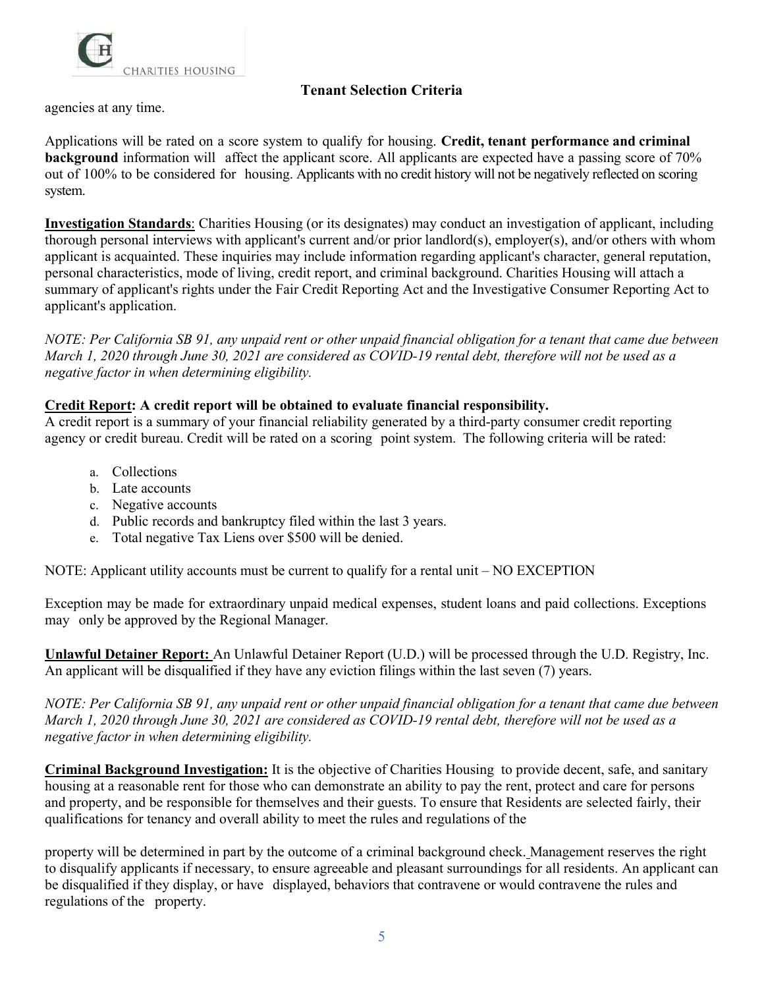

agencies at any time.

Applications will be rated on a score system to qualify for housing. **Credit, tenant performance and criminal background** information will affect the applicant score. All applicants are expected have a passing score of 70% out of 100% to be considered for housing. Applicants with no credit history will not be negatively reflected on scoring system.

**Investigation Standards**: Charities Housing (or its designates) may conduct an investigation of applicant, including thorough personal interviews with applicant's current and/or prior landlord(s), employer(s), and/or others with whom applicant is acquainted. These inquiries may include information regarding applicant's character, general reputation, personal characteristics, mode of living, credit report, and criminal background. Charities Housing will attach a summary of applicant's rights under the Fair Credit Reporting Act and the Investigative Consumer Reporting Act to applicant's application.

*NOTE: Per California SB 91, any unpaid rent or other unpaid financial obligation for a tenant that came due between March 1, 2020 through June 30, 2021 are considered as COVID-19 rental debt, therefore will not be used as a negative factor in when determining eligibility.* 

#### **Credit Report: A credit report will be obtained to evaluate financial responsibility.**

A credit report is a summary of your financial reliability generated by a third-party consumer credit reporting agency or credit bureau. Credit will be rated on a scoring point system. The following criteria will be rated:

- a. Collections
- b. Late accounts
- c. Negative accounts
- d. Public records and bankruptcy filed within the last 3 years.
- e. Total negative Tax Liens over \$500 will be denied.

NOTE: Applicant utility accounts must be current to qualify for a rental unit – NO EXCEPTION

Exception may be made for extraordinary unpaid medical expenses, student loans and paid collections. Exceptions may only be approved by the Regional Manager.

**Unlawful Detainer Report:** An Unlawful Detainer Report (U.D.) will be processed through the U.D. Registry, Inc. An applicant will be disqualified if they have any eviction filings within the last seven (7) years.

*NOTE: Per California SB 91, any unpaid rent or other unpaid financial obligation for a tenant that came due between March 1, 2020 through June 30, 2021 are considered as COVID-19 rental debt, therefore will not be used as a negative factor in when determining eligibility.* 

**Criminal Background Investigation:** It is the objective of Charities Housing to provide decent, safe, and sanitary housing at a reasonable rent for those who can demonstrate an ability to pay the rent, protect and care for persons and property, and be responsible for themselves and their guests. To ensure that Residents are selected fairly, their qualifications for tenancy and overall ability to meet the rules and regulations of the

property will be determined in part by the outcome of a criminal background check. Management reserves the right to disqualify applicants if necessary, to ensure agreeable and pleasant surroundings for all residents. An applicant can be disqualified if they display, or have displayed, behaviors that contravene or would contravene the rules and regulations of the property.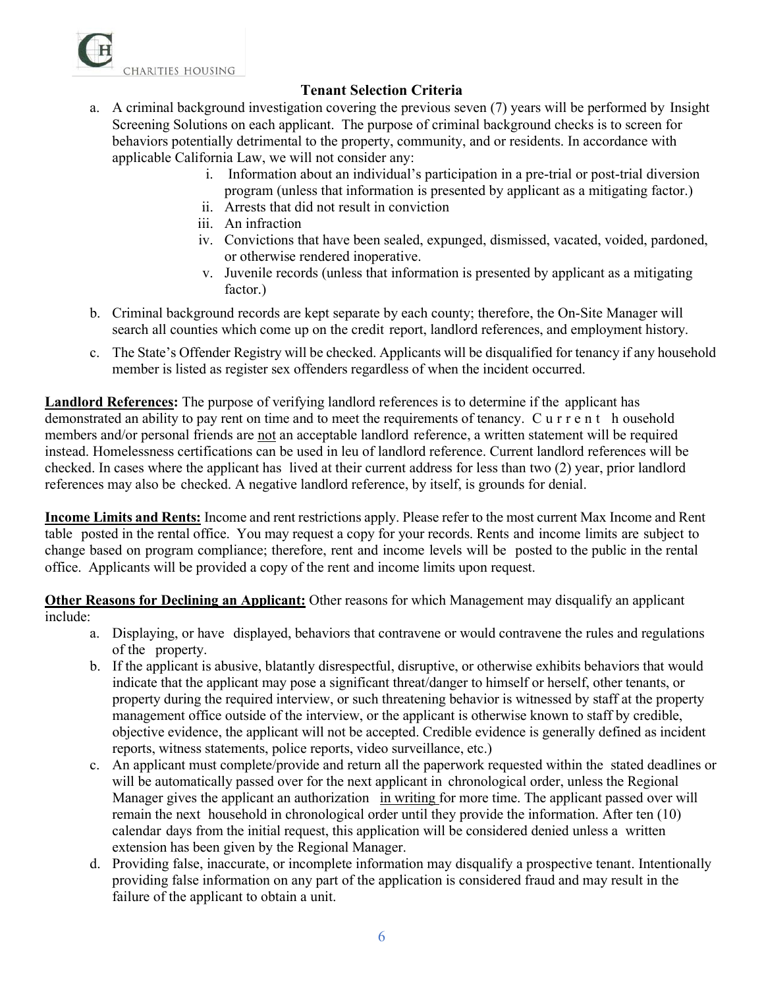

- a. A criminal background investigation covering the previous seven (7) years will be performed by Insight Screening Solutions on each applicant. The purpose of criminal background checks is to screen for behaviors potentially detrimental to the property, community, and or residents. In accordance with applicable California Law, we will not consider any:
	- i. Information about an individual's participation in a pre-trial or post-trial diversion program (unless that information is presented by applicant as a mitigating factor.)
	- ii. Arrests that did not result in conviction
	- iii. An infraction
	- iv. Convictions that have been sealed, expunged, dismissed, vacated, voided, pardoned, or otherwise rendered inoperative.
	- v. Juvenile records (unless that information is presented by applicant as a mitigating factor.)
- b. Criminal background records are kept separate by each county; therefore, the On-Site Manager will search all counties which come up on the credit report, landlord references, and employment history.
- c. The State's Offender Registry will be checked. Applicants will be disqualified for tenancy if any household member is listed as register sex offenders regardless of when the incident occurred.

**Landlord References:** The purpose of verifying landlord references is to determine if the applicant has demonstrated an ability to pay rent on time and to meet the requirements of tenancy. Current h ousehold members and/or personal friends are not an acceptable landlord reference, a written statement will be required instead. Homelessness certifications can be used in leu of landlord reference. Current landlord references will be checked. In cases where the applicant has lived at their current address for less than two (2) year, prior landlord references may also be checked. A negative landlord reference, by itself, is grounds for denial.

**Income Limits and Rents:** Income and rent restrictions apply. Please refer to the most current Max Income and Rent table posted in the rental office. You may request a copy for your records. Rents and income limits are subject to change based on program compliance; therefore, rent and income levels will be posted to the public in the rental office. Applicants will be provided a copy of the rent and income limits upon request.

**Other Reasons for Declining an Applicant:** Other reasons for which Management may disqualify an applicant include:

- a. Displaying, or have displayed, behaviors that contravene or would contravene the rules and regulations of the property.
- b. If the applicant is abusive, blatantly disrespectful, disruptive, or otherwise exhibits behaviors that would indicate that the applicant may pose a significant threat/danger to himself or herself, other tenants, or property during the required interview, or such threatening behavior is witnessed by staff at the property management office outside of the interview, or the applicant is otherwise known to staff by credible, objective evidence, the applicant will not be accepted. Credible evidence is generally defined as incident reports, witness statements, police reports, video surveillance, etc.)
- c. An applicant must complete/provide and return all the paperwork requested within the stated deadlines or will be automatically passed over for the next applicant in chronological order, unless the Regional Manager gives the applicant an authorization in writing for more time. The applicant passed over will remain the next household in chronological order until they provide the information. After ten (10) calendar days from the initial request, this application will be considered denied unless a written extension has been given by the Regional Manager.
- d. Providing false, inaccurate, or incomplete information may disqualify a prospective tenant. Intentionally providing false information on any part of the application is considered fraud and may result in the failure of the applicant to obtain a unit.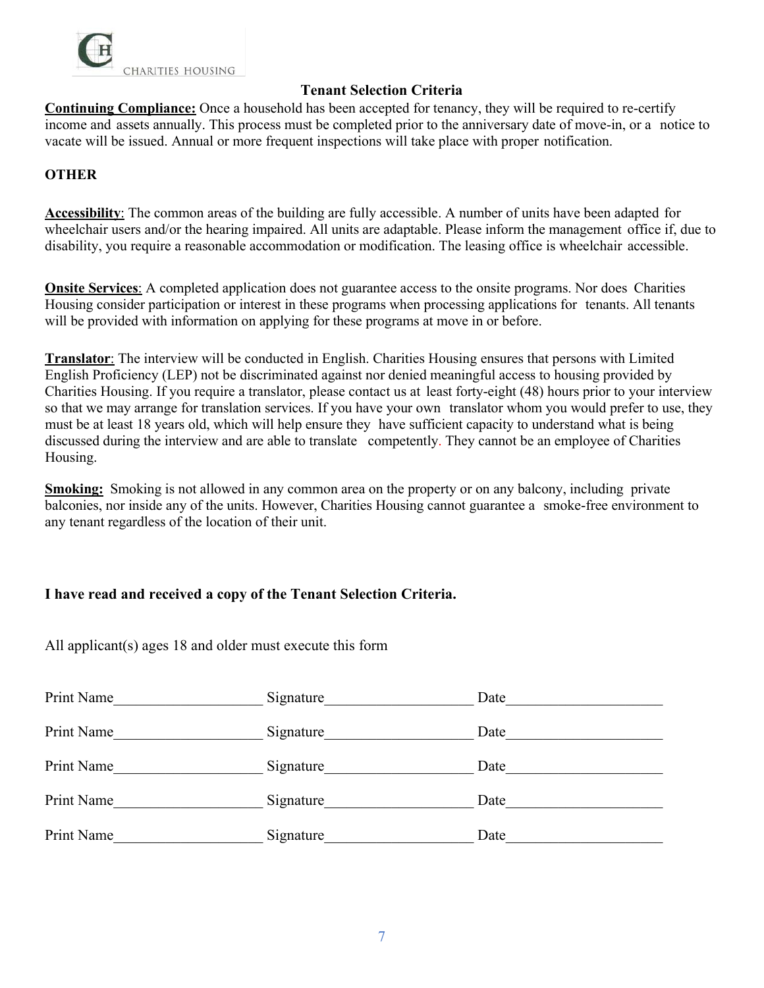

**Continuing Compliance:** Once a household has been accepted for tenancy, they will be required to re-certify income and assets annually. This process must be completed prior to the anniversary date of move-in, or a notice to vacate will be issued. Annual or more frequent inspections will take place with proper notification.

# **OTHER**

**Accessibility**: The common areas of the building are fully accessible. A number of units have been adapted for wheelchair users and/or the hearing impaired. All units are adaptable. Please inform the management office if, due to disability, you require a reasonable accommodation or modification. The leasing office is wheelchair accessible.

**Onsite Services:** A completed application does not guarantee access to the onsite programs. Nor does Charities Housing consider participation or interest in these programs when processing applications for tenants. All tenants will be provided with information on applying for these programs at move in or before.

**Translator**: The interview will be conducted in English. Charities Housing ensures that persons with Limited English Proficiency (LEP) not be discriminated against nor denied meaningful access to housing provided by Charities Housing. If you require a translator, please contact us at least forty-eight (48) hours prior to your interview so that we may arrange for translation services. If you have your own translator whom you would prefer to use, they must be at least 18 years old, which will help ensure they have sufficient capacity to understand what is being discussed during the interview and are able to translate competently. They cannot be an employee of Charities Housing.

**Smoking:** Smoking is not allowed in any common area on the property or on any balcony, including private balconies, nor inside any of the units. However, Charities Housing cannot guarantee a smoke-free environment to any tenant regardless of the location of their unit.

### **I have read and received a copy of the Tenant Selection Criteria.**

All applicant(s) ages 18 and older must execute this form

| Print Name | Signature | Date |  |
|------------|-----------|------|--|
| Print Name | Signature | Date |  |
| Print Name | Signature | Date |  |
| Print Name | Signature | Date |  |
| Print Name | Signature | Date |  |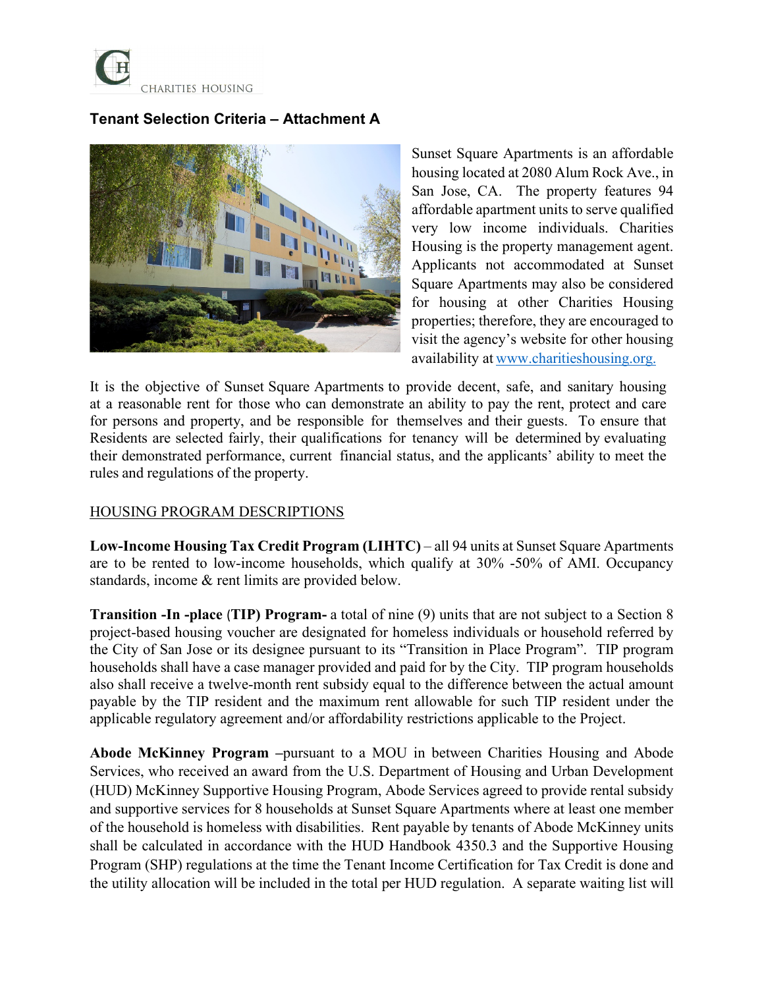

# **Tenant Selection Criteria – Attachment A**



Sunset Square Apartments is an affordable housing located at 2080 Alum Rock Ave., in San Jose, CA. The property features 94 affordable apartment units to serve qualified very low income individuals. Charities Housing is the property management agent. Applicants not accommodated at Sunset Square Apartments may also be considered for housing at other Charities Housing properties; therefore, they are encouraged to visit the agency's website for other housing availability at [www.charitieshousing.org.](http://www.charitieshousing.org./)

It is the objective of Sunset Square Apartments to provide decent, safe, and sanitary housing at a reasonable rent for those who can demonstrate an ability to pay the rent, protect and care for persons and property, and be responsible for themselves and their guests. To ensure that Residents are selected fairly, their qualifications for tenancy will be determined by evaluating their demonstrated performance, current financial status, and the applicants' ability to meet the rules and regulations of the property.

### **HOUSING PROGRAM DESCRIPTIONS**

**Low-Income Housing Tax Credit Program (LIHTC)** – all 94 units at Sunset Square Apartments are to be rented to low-income households, which qualify at 30% -50% of AMI. Occupancy standards, income & rent limits are provided below.

**Transition -In -place** (**TIP) Program-** a total of nine (9) units that are not subject to a Section 8 project-based housing voucher are designated for homeless individuals or household referred by the City of San Jose or its designee pursuant to its "Transition in Place Program". TIP program households shall have a case manager provided and paid for by the City. TIP program households also shall receive a twelve-month rent subsidy equal to the difference between the actual amount payable by the TIP resident and the maximum rent allowable for such TIP resident under the applicable regulatory agreement and/or affordability restrictions applicable to the Project.

**Abode McKinney Program –**pursuant to a MOU in between Charities Housing and Abode Services, who received an award from the U.S. Department of Housing and Urban Development (HUD) McKinney Supportive Housing Program, Abode Services agreed to provide rental subsidy and supportive services for 8 households at Sunset Square Apartments where at least one member of the household is homeless with disabilities. Rent payable by tenants of Abode McKinney units shall be calculated in accordance with the HUD Handbook 4350.3 and the Supportive Housing Program (SHP) regulations at the time the Tenant Income Certification for Tax Credit is done and the utility allocation will be included in the total per HUD regulation. A separate waiting list will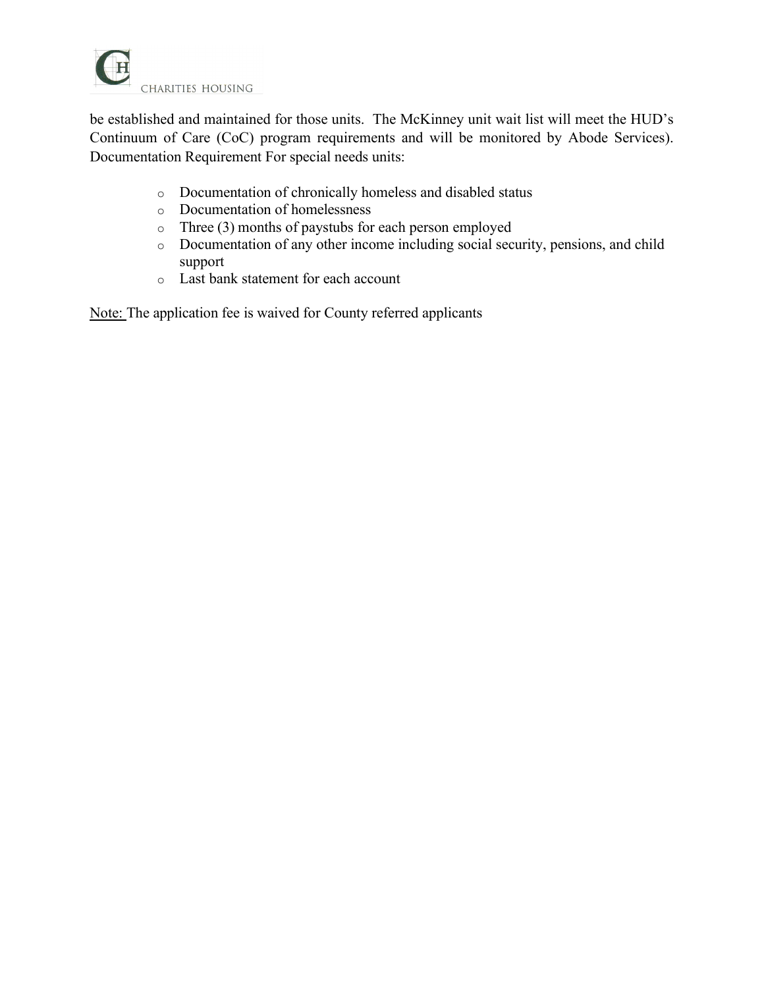

be established and maintained for those units. The McKinney unit wait list will meet the HUD's Continuum of Care (CoC) program requirements and will be monitored by Abode Services). Documentation Requirement For special needs units:

- o Documentation of chronically homeless and disabled status
- o Documentation of homelessness
- o Three (3) months of paystubs for each person employed
- o Documentation of any other income including social security, pensions, and child support
- o Last bank statement for each account

Note: The application fee is waived for County referred applicants